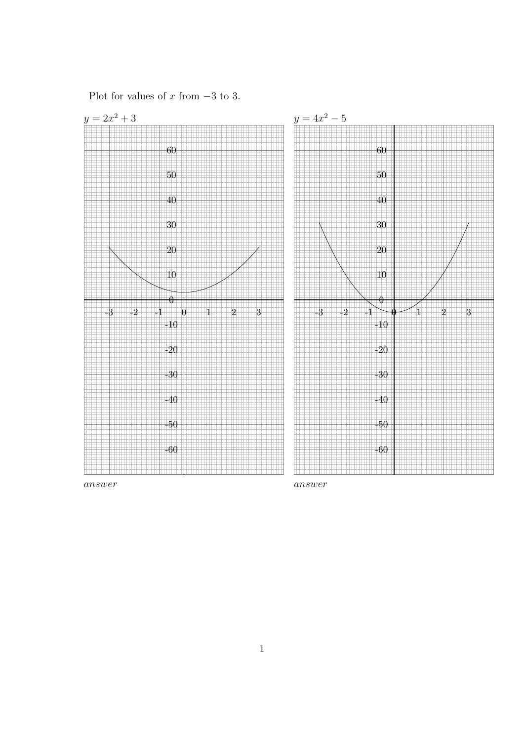

answer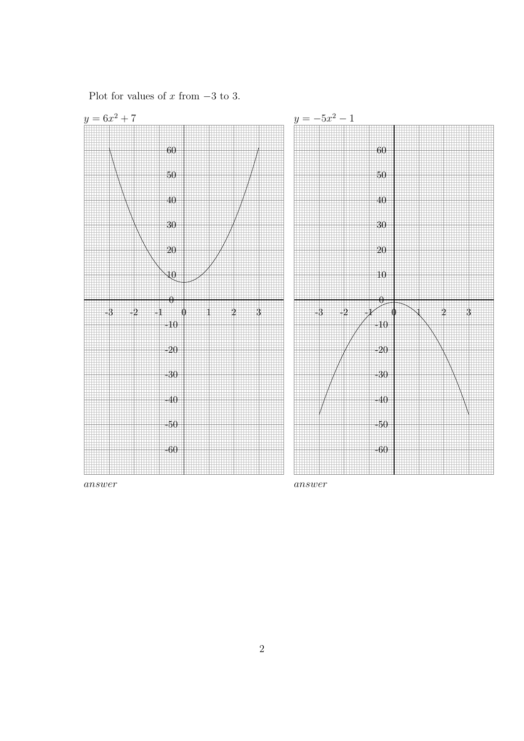

answer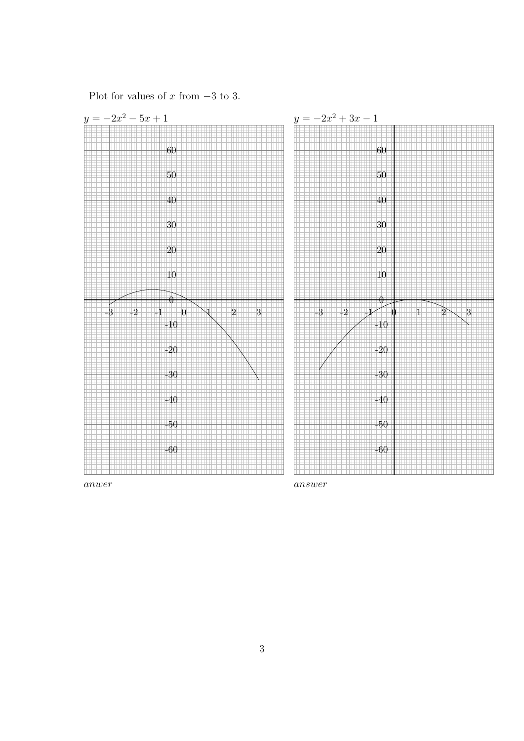

anwer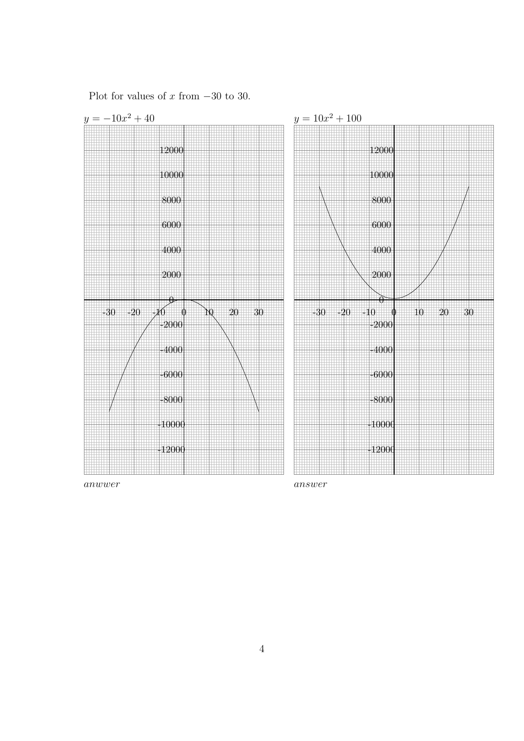

anwwer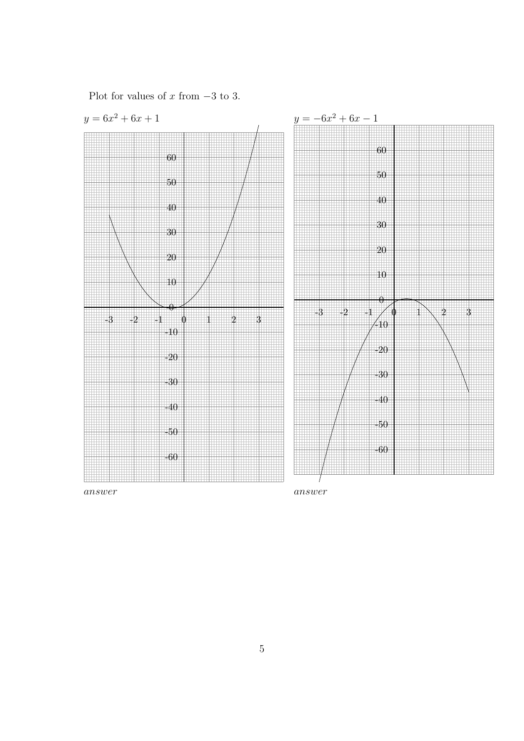